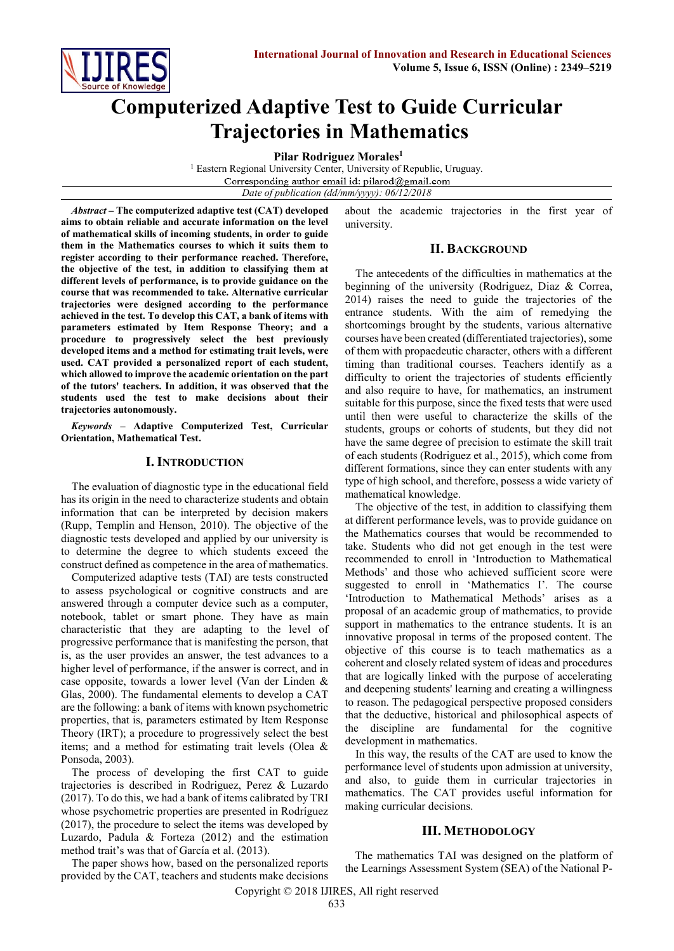

# **Computerized Adaptive Test to Guide Curricular Trajectories in Mathematics**

**Pilar Rodriguez Morales<sup>1</sup>**

<sup>1</sup> Eastern Regional University Center, University of Republic, Uruguay. Corresponding author email id: pilarod@gmail.com *Date of publication (dd/mm/yyyy): 06/12/2018*

*Abstract* **– The computerized adaptive test (CAT) developed aims to obtain reliable and accurate information on the level of mathematical skills of incoming students, in order to guide them in the Mathematics courses to which it suits them to register according to their performance reached. Therefore, the objective of the test, in addition to classifying them at different levels of performance, is to provide guidance on the course that was recommended to take. Alternative curricular trajectories were designed according to the performance achieved in the test. To develop this CAT, a bank of items with parameters estimated by Item Response Theory; and a procedure to progressively select the best previously developed items and a method for estimating trait levels, were used. CAT provided a personalized report of each student, which allowed to improve the academic orientation on the part of the tutors' teachers. In addition, it was observed that the students used the test to make decisions about their trajectories autonomously.**

*Keywords* **– Adaptive Computerized Test, Curricular Orientation, Mathematical Test.** 

#### **I. INTRODUCTION**

The evaluation of diagnostic type in the educational field has its origin in the need to characterize students and obtain information that can be interpreted by decision makers (Rupp, Templin and Henson, 2010). The objective of the diagnostic tests developed and applied by our university is to determine the degree to which students exceed the construct defined as competence in the area of mathematics.

Computerized adaptive tests (TAI) are tests constructed to assess psychological or cognitive constructs and are answered through a computer device such as a computer, notebook, tablet or smart phone. They have as main characteristic that they are adapting to the level of progressive performance that is manifesting the person, that is, as the user provides an answer, the test advances to a higher level of performance, if the answer is correct, and in case opposite, towards a lower level (Van der Linden & Glas, 2000). The fundamental elements to develop a CAT are the following: a bank of items with known psychometric properties, that is, parameters estimated by Item Response Theory (IRT); a procedure to progressively select the best items; and a method for estimating trait levels (Olea & Ponsoda, 2003).

The process of developing the first CAT to guide trajectories is described in Rodriguez, Perez & Luzardo (2017). To do this, we had a bank of items calibrated by TRI whose psychometric properties are presented in Rodríguez (2017), the procedure to select the items was developed by Luzardo, Padula & Forteza (2012) and the estimation method trait's was that of García et al. (2013).

The paper shows how, based on the personalized reports provided by the CAT, teachers and students make decisions about the academic trajectories in the first year of university.

#### **II. BACKGROUND**

The antecedents of the difficulties in mathematics at the beginning of the university (Rodriguez, Diaz & Correa, 2014) raises the need to guide the trajectories of the entrance students. With the aim of remedying the shortcomings brought by the students, various alternative courses have been created (differentiated trajectories), some of them with propaedeutic character, others with a different timing than traditional courses. Teachers identify as a difficulty to orient the trajectories of students efficiently and also require to have, for mathematics, an instrument suitable for this purpose, since the fixed tests that were used until then were useful to characterize the skills of the students, groups or cohorts of students, but they did not have the same degree of precision to estimate the skill trait of each students (Rodriguez et al., 2015), which come from different formations, since they can enter students with any type of high school, and therefore, possess a wide variety of mathematical knowledge.

The objective of the test, in addition to classifying them at different performance levels, was to provide guidance on the Mathematics courses that would be recommended to take. Students who did not get enough in the test were recommended to enroll in 'Introduction to Mathematical Methods' and those who achieved sufficient score were suggested to enroll in 'Mathematics I'. The course 'Introduction to Mathematical Methods' arises as a proposal of an academic group of mathematics, to provide support in mathematics to the entrance students. It is an innovative proposal in terms of the proposed content. The objective of this course is to teach mathematics as a coherent and closely related system of ideas and procedures that are logically linked with the purpose of accelerating and deepening students' learning and creating a willingness to reason. The pedagogical perspective proposed considers that the deductive, historical and philosophical aspects of the discipline are fundamental for the cognitive development in mathematics.

In this way, the results of the CAT are used to know the performance level of students upon admission at university, and also, to guide them in curricular trajectories in mathematics. The CAT provides useful information for making curricular decisions.

#### **III. METHODOLOGY**

The mathematics TAI was designed on the platform of the Learnings Assessment System (SEA) of the National P-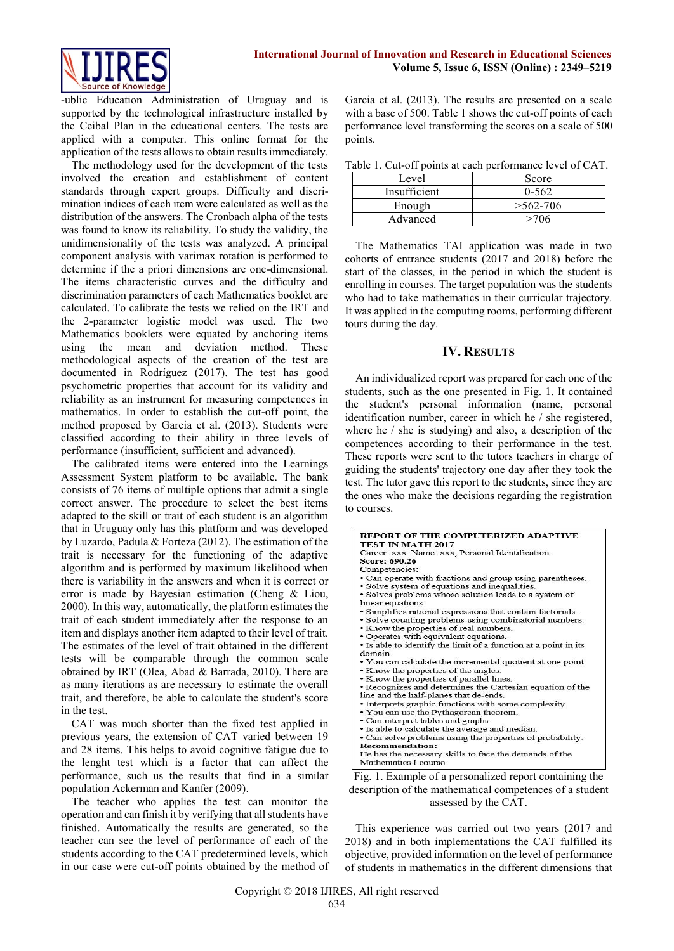

-ublic Education Administration of Uruguay and is supported by the technological infrastructure installed by the Ceibal Plan in the educational centers. The tests are applied with a computer. This online format for the application of the tests allows to obtain results immediately.

The methodology used for the development of the tests involved the creation and establishment of content standards through expert groups. Difficulty and discrimination indices of each item were calculated as well as the distribution of the answers. The Cronbach alpha of the tests was found to know its reliability. To study the validity, the unidimensionality of the tests was analyzed. A principal component analysis with varimax rotation is performed to determine if the a priori dimensions are one-dimensional. The items characteristic curves and the difficulty and discrimination parameters of each Mathematics booklet are calculated. To calibrate the tests we relied on the IRT and the 2-parameter logistic model was used. The two Mathematics booklets were equated by anchoring items using the mean and deviation method. These methodological aspects of the creation of the test are documented in Rodríguez (2017). The test has good psychometric properties that account for its validity and reliability as an instrument for measuring competences in mathematics. In order to establish the cut-off point, the method proposed by Garcia et al. (2013). Students were classified according to their ability in three levels of performance (insufficient, sufficient and advanced).

The calibrated items were entered into the Learnings Assessment System platform to be available. The bank consists of 76 items of multiple options that admit a single correct answer. The procedure to select the best items adapted to the skill or trait of each student is an algorithm that in Uruguay only has this platform and was developed by Luzardo, Padula & Forteza (2012). The estimation of the trait is necessary for the functioning of the adaptive algorithm and is performed by maximum likelihood when there is variability in the answers and when it is correct or error is made by Bayesian estimation (Cheng & Liou, 2000). In this way, automatically, the platform estimates the trait of each student immediately after the response to an item and displays another item adapted to their level of trait. The estimates of the level of trait obtained in the different tests will be comparable through the common scale obtained by IRT (Olea, Abad & Barrada, 2010). There are as many iterations as are necessary to estimate the overall trait, and therefore, be able to calculate the student's score in the test.

CAT was much shorter than the fixed test applied in previous years, the extension of CAT varied between 19 and 28 items. This helps to avoid cognitive fatigue due to the lenght test which is a factor that can affect the performance, such us the results that find in a similar population Ackerman and Kanfer (2009).

The teacher who applies the test can monitor the operation and can finish it by verifying that all students have finished. Automatically the results are generated, so the teacher can see the level of performance of each of the students according to the CAT predetermined levels, which in our case were cut-off points obtained by the method of

Garcia et al. (2013). The results are presented on a scale with a base of 500. Table 1 shows the cut-off points of each performance level transforming the scores on a scale of 500 points.

Table 1. Cut-off points at each performance level of CAT.

|              | ruole 1. Cut oli poliito ut euen performance le tel of Crift. |
|--------------|---------------------------------------------------------------|
| Level        | Score                                                         |
| Insufficient | $0 - 562$                                                     |
| Enough       | $>562-706$                                                    |
| Advanced     | >706                                                          |

The Mathematics TAI application was made in two cohorts of entrance students (2017 and 2018) before the start of the classes, in the period in which the student is enrolling in courses. The target population was the students who had to take mathematics in their curricular trajectory. It was applied in the computing rooms, performing different tours during the day.

### **IV. RESULTS**

An individualized report was prepared for each one of the students, such as the one presented in Fig. 1. It contained the student's personal information (name, personal identification number, career in which he / she registered, where he / she is studying) and also, a description of the competences according to their performance in the test. These reports were sent to the tutors teachers in charge of guiding the students' trajectory one day after they took the test. The tutor gave this report to the students, since they are the ones who make the decisions regarding the registration to courses.

| <b>REPORT OF THE COMPUTERIZED ADAPTIVE</b><br>TEST IN MATH 2017                                                                                                                                                                                                                                                                                                                                                                                                                                                                                                                                                                                                                                                                                                      |
|----------------------------------------------------------------------------------------------------------------------------------------------------------------------------------------------------------------------------------------------------------------------------------------------------------------------------------------------------------------------------------------------------------------------------------------------------------------------------------------------------------------------------------------------------------------------------------------------------------------------------------------------------------------------------------------------------------------------------------------------------------------------|
| Score: 690.26                                                                                                                                                                                                                                                                                                                                                                                                                                                                                                                                                                                                                                                                                                                                                        |
| Career: xxx. Name: xxx. Personal Identification.<br>Competencies:<br>• Can operate with fractions and group using parentheses.<br>· Solve system of equations and inequalities.<br>· Solves problems whose solution leads to a system of<br>linear equations.<br>· Simplifies rational expressions that contain factorials.<br>· Solve counting problems using combinatorial numbers.<br>• Know the properties of real numbers.<br>• Operates with equivalent equations.<br>• Is able to identify the limit of a function at a point in its<br>domain<br>• You can calculate the incremental quotient at one point.<br>• Know the properties of the angles.<br>• Know the properties of parallel lines.<br>• Recognizes and determines the Cartesian equation of the |
| line and the half-planes that de-ends.<br>• Interprets graphic functions with some complexity.<br>• You can use the Pythagorean theorem.<br>· Can interpret tables and graphs.<br>. Is able to calculate the average and median.<br>• Can solve problems using the properties of probability.<br><b>Recommendation:</b><br>He has the necessary skills to face the demands of the<br>Mathematics I course                                                                                                                                                                                                                                                                                                                                                            |

Fig. 1. Example of a personalized report containing the description of the mathematical competences of a student assessed by the CAT.

This experience was carried out two years (2017 and 2018) and in both implementations the CAT fulfilled its objective, provided information on the level of performance of students in mathematics in the different dimensions that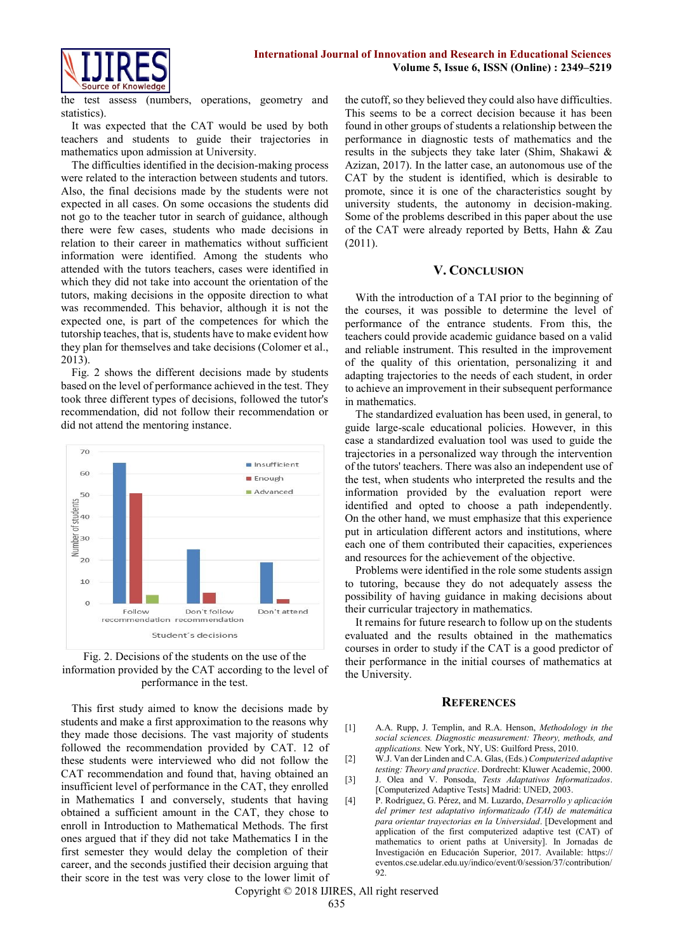

the test assess (numbers, operations, geometry and statistics).

It was expected that the CAT would be used by both teachers and students to guide their trajectories in mathematics upon admission at University.

The difficulties identified in the decision-making process were related to the interaction between students and tutors. Also, the final decisions made by the students were not expected in all cases. On some occasions the students did not go to the teacher tutor in search of guidance, although there were few cases, students who made decisions in relation to their career in mathematics without sufficient information were identified. Among the students who attended with the tutors teachers, cases were identified in which they did not take into account the orientation of the tutors, making decisions in the opposite direction to what was recommended. This behavior, although it is not the expected one, is part of the competences for which the tutorship teaches, that is, students have to make evident how they plan for themselves and take decisions (Colomer et al., 2013).

Fig. 2 shows the different decisions made by students based on the level of performance achieved in the test. They took three different types of decisions, followed the tutor's recommendation, did not follow their recommendation or did not attend the mentoring instance.





This first study aimed to know the decisions made by students and make a first approximation to the reasons why they made those decisions. The vast majority of students followed the recommendation provided by CAT. 12 of these students were interviewed who did not follow the CAT recommendation and found that, having obtained an insufficient level of performance in the CAT, they enrolled in Mathematics I and conversely, students that having obtained a sufficient amount in the CAT, they chose to enroll in Introduction to Mathematical Methods. The first ones argued that if they did not take Mathematics I in the first semester they would delay the completion of their career, and the seconds justified their decision arguing that their score in the test was very close to the lower limit of

the cutoff, so they believed they could also have difficulties. This seems to be a correct decision because it has been found in other groups of students a relationship between the performance in diagnostic tests of mathematics and the results in the subjects they take later (Shim, Shakawi & Azizan, 2017). In the latter case, an autonomous use of the CAT by the student is identified, which is desirable to promote, since it is one of the characteristics sought by university students, the autonomy in decision-making. Some of the problems described in this paper about the use of the CAT were already reported by Betts, Hahn & Zau (2011).

#### **V. CONCLUSION**

With the introduction of a TAI prior to the beginning of the courses, it was possible to determine the level of performance of the entrance students. From this, the teachers could provide academic guidance based on a valid and reliable instrument. This resulted in the improvement of the quality of this orientation, personalizing it and adapting trajectories to the needs of each student, in order to achieve an improvement in their subsequent performance in mathematics.

The standardized evaluation has been used, in general, to guide large-scale educational policies. However, in this case a standardized evaluation tool was used to guide the trajectories in a personalized way through the intervention of the tutors' teachers. There was also an independent use of the test, when students who interpreted the results and the information provided by the evaluation report were identified and opted to choose a path independently. On the other hand, we must emphasize that this experience put in articulation different actors and institutions, where each one of them contributed their capacities, experiences and resources for the achievement of the objective.

Problems were identified in the role some students assign to tutoring, because they do not adequately assess the possibility of having guidance in making decisions about their curricular trajectory in mathematics.

It remains for future research to follow up on the students evaluated and the results obtained in the mathematics courses in order to study if the CAT is a good predictor of their performance in the initial courses of mathematics at the University.

#### **REFERENCES**

- [1] A.A. Rupp, J. Templin, and R.A. Henson, *Methodology in the social sciences. Diagnostic measurement: Theory, methods, and applications.* New York, NY, US: Guilford Press, 2010.
- [2] W.J. Van der Linden and C.A. Glas, (Eds.) *Computerized adaptive testing: Theory and practice*. Dordrecht: Kluwer Academic, 2000.
- [3] J. Olea and V. Ponsoda, *Tests Adaptativos Informatizados*. [Computerized Adaptive Tests] Madrid: UNED, 2003.
- [4] P. Rodríguez, G. Pérez, and M. Luzardo, *Desarrollo y aplicación del primer test adaptativo informatizado (TAI) de matemática para orientar trayectorias en la Universidad*. [Development and application of the first computerized adaptive test (CAT) of mathematics to orient paths at University]. In Jornadas de Investigación en Educación Superior, 2017. Available: https:// eventos.cse.udelar.edu.uy/indico/event/0/session/37/contribution/ 92.